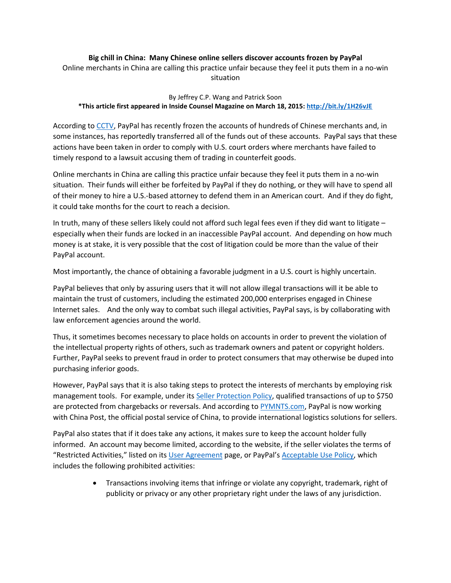## **Big chill in China: Many Chinese online sellers discover accounts frozen by PayPal**

Online merchants in China are calling this practice unfair because they feel it puts them in a no-win situation

## By Jeffrey C.P. Wang and Patrick Soon **\*This article first appeared in Inside Counsel Magazine on March 18, 2015[: http://bit.ly/1H26vJE](http://bit.ly/1H26vJE)**

According to [CCTV,](http://english.cntv.cn/2015/02/16/VIDE1424030038037331.shtml) PayPal has recently frozen the accounts of hundreds of Chinese merchants and, in some instances, has reportedly transferred all of the funds out of these accounts. PayPal says that these actions have been taken in order to comply with U.S. court orders where merchants have failed to timely respond to a lawsuit accusing them of trading in counterfeit goods.

Online merchants in China are calling this practice unfair because they feel it puts them in a no-win situation. Their funds will either be forfeited by PayPal if they do nothing, or they will have to spend all of their money to hire a U.S.-based attorney to defend them in an American court. And if they do fight, it could take months for the court to reach a decision.

In truth, many of these sellers likely could not afford such legal fees even if they did want to litigate – especially when their funds are locked in an inaccessible PayPal account. And depending on how much money is at stake, it is very possible that the cost of litigation could be more than the value of their PayPal account.

Most importantly, the chance of obtaining a favorable judgment in a U.S. court is highly uncertain.

PayPal believes that only by assuring users that it will not allow illegal transactions will it be able to maintain the trust of customers, including the estimated 200,000 enterprises engaged in Chinese Internet sales. And the only way to combat such illegal activities, PayPal says, is by collaborating with law enforcement agencies around the world.

Thus, it sometimes becomes necessary to place holds on accounts in order to prevent the violation of the intellectual property rights of others, such as trademark owners and patent or copyright holders. Further, PayPal seeks to prevent fraud in order to protect consumers that may otherwise be duped into purchasing inferior goods.

However, PayPal says that it is also taking steps to protect the interests of merchants by employing risk management tools. For example, under it[s Seller Protection Policy,](https://cms.paypal.com/in/cgi-bin/?cmd=_render-content&content_ID=ua/APAC_SellerProtection_full) qualified transactions of up to \$750 are protected from chargebacks or reversals. And according t[o PYMNTS.com,](http://www.pymnts.com/in-depth/2015/paypals-progress-in-china/#.VO-oNPnF_6M) PayPal is now working with China Post, the official postal service of China, to provide international logistics solutions for sellers.

PayPal also states that if it does take any actions, it makes sure to keep the account holder fully informed. An account may become limited, according to the website, if the seller violates the terms of "Restricted Activities," listed on its [User Agreement](https://www.paypal.com/us/webapps/mpp/ua/useragreement-full#9) page, or PayPal's [Acceptable Use Policy,](https://www.paypal.com/webapps/mpp/ua/acceptableuse-full?country.x=US&locale.x=en_US) which includes the following prohibited activities:

> Transactions involving items that infringe or violate any copyright, trademark, right of publicity or privacy or any other proprietary right under the laws of any jurisdiction.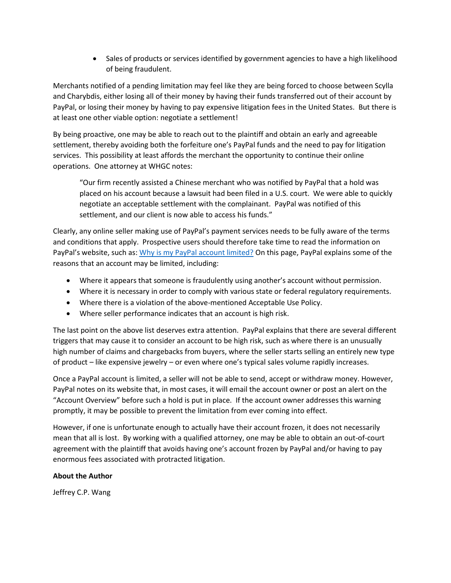Sales of products or services identified by government agencies to have a high likelihood of being fraudulent.

Merchants notified of a pending limitation may feel like they are being forced to choose between Scylla and Charybdis, either losing all of their money by having their funds transferred out of their account by PayPal, or losing their money by having to pay expensive litigation fees in the United States. But there is at least one other viable option: negotiate a settlement!

By being proactive, one may be able to reach out to the plaintiff and obtain an early and agreeable settlement, thereby avoiding both the forfeiture one's PayPal funds and the need to pay for litigation services. This possibility at least affords the merchant the opportunity to continue their online operations. One attorney at WHGC notes:

"Our firm recently assisted a Chinese merchant who was notified by PayPal that a hold was placed on his account because a lawsuit had been filed in a U.S. court. We were able to quickly negotiate an acceptable settlement with the complainant. PayPal was notified of this settlement, and our client is now able to access his funds."

Clearly, any online seller making use of PayPal's payment services needs to be fully aware of the terms and conditions that apply. Prospective users should therefore take time to read the information on PayPal's website, such as: [Why is my PayPal account limited?](https://www.paypal.com/us/webapps/helpcenter/helphub/article/?solutionId=FAQ1758&topicID=ACCOUNT_LIMITATIONS_US&m=TCI) On this page, PayPal explains some of the reasons that an account may be limited, including:

- Where it appears that someone is fraudulently using another's account without permission.
- Where it is necessary in order to comply with various state or federal regulatory requirements.
- Where there is a violation of the above-mentioned Acceptable Use Policy.
- Where seller performance indicates that an account is high risk.

The last point on the above list deserves extra attention. PayPal explains that there are several different triggers that may cause it to consider an account to be high risk, such as where there is an unusually high number of claims and chargebacks from buyers, where the seller starts selling an entirely new type of product – like expensive jewelry – or even where one's typical sales volume rapidly increases.

Once a PayPal account is limited, a seller will not be able to send, accept or withdraw money. However, PayPal notes on its website that, in most cases, it will email the account owner or post an alert on the "Account Overview" before such a hold is put in place. If the account owner addresses this warning promptly, it may be possible to prevent the limitation from ever coming into effect.

However, if one is unfortunate enough to actually have their account frozen, it does not necessarily mean that all is lost. By working with a qualified attorney, one may be able to obtain an out-of-court agreement with the plaintiff that avoids having one's account frozen by PayPal and/or having to pay enormous fees associated with protracted litigation.

## **About the Author**

Jeffrey C.P. Wang